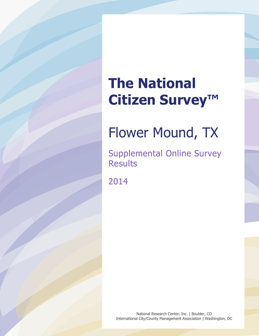# **The National Citizen Survey™**

# Flower Mound, TX

Supplemental Online Survey Results

2014

National Research Center, Inc. | Boulder, CO International City/County Management Association | Washington, DC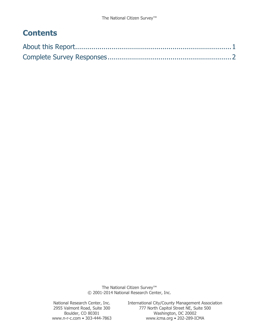# **Contents**

The National Citizen Survey<sup>™</sup> © 2001-2014 National Research Center, Inc.

National Research Center, Inc. International City/County Management Association<br>2955 Valmont Road, Suite 300 777 North Capitol Street NE, Suite 500 Valmont Road, Suite 300 777 North Capitol Street NE, Suite 500<br>Boulder, CO 80301 Washington, DC 20002 Boulder, CO 80301 Washington, DC 20002<br>www.n-r-c.com • 303-444-7863 www.icma.org • 202-289-IC www.icma.org • 202-289-ICMA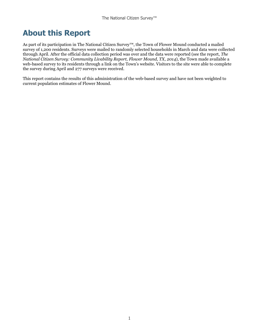# <span id="page-2-0"></span>**About this Report**

As part of its participation in The National Citizen Survey™, the Town of Flower Mound conducted a mailed survey of 1,200 residents. Surveys were mailed to randomly selected households in March and data were collected through April. After the official data collection period was over and the data were reported (see the report, *The National Citizen Survey: Community Livability Report, Flower Mound, TX, 2014*), the Town made available a web-based survey to its residents through a link on the Town's website. Visitors to the site were able to complete the survey during April and 277 surveys were received.

This report contains the results of this administration of the web-based survey and have not been weighted to current population estimates of Flower Mound.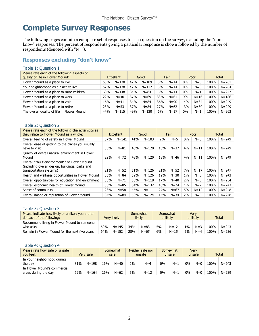# <span id="page-3-0"></span>**Complete Survey Responses**

The following pages contain a complete set of responses to each question on the survey, excluding the "don't know" responses. The percent of respondents giving a particular response is shown followed by the number of respondents (denoted with "N=").

# **Responses excluding "don't know"**

#### Table 1: Question 1

| Please rate each of the following aspects of<br>quality of life in Flower Mound: |     | <b>Excellent</b> |     | Good      |     | Fair     |       | Poor     |      | Total     |
|----------------------------------------------------------------------------------|-----|------------------|-----|-----------|-----|----------|-------|----------|------|-----------|
| Flower Mound as a place to live                                                  | 53% | $N = 138$        | 42% | $N = 109$ | 5%  | $N = 14$ | $0\%$ | $N=0$    | 100% | $N = 261$ |
| Your neighborhood as a place to live                                             | 52% | $N = 138$        | 42% | $N = 112$ | 5%  | $N = 14$ | $0\%$ | $N=0$    | 100% | $N = 264$ |
| Flower Mound as a place to raise children                                        | 60% | $N = 148$        | 34% | $N = 84$  | 6%  | $N = 14$ | $0\%$ | $N=1$    | 100% | $N = 247$ |
| Flower Mound as a place to work                                                  | 22% | $N = 40$         | 37% | $N = 69$  | 33% | $N = 61$ | 9%    | $N = 16$ | 100% | $N = 186$ |
| Flower Mound as a place to visit                                                 | 16% | $N=41$           | 34% | $N = 84$  | 36% | $N = 90$ | 14%   | $N = 34$ | 100% | $N = 249$ |
| Flower Mound as a place to retire                                                | 23% | $N = 53$         | 37% | $N = 84$  | 27% | $N = 62$ | 13%   | $N = 30$ | 100% | $N = 229$ |
| The overall quality of life in Flower Mound                                      | 44% | $N = 115$        | 49% | $N = 130$ | 6%  | $N = 17$ | $0\%$ | $N=1$    | 100% | $N = 263$ |

#### Table 2: Question 2

| Please rate each of the following characteristics as<br>they relate to Flower Mound as a whole:                             | Excellent |           |     | Good      |     | Fair     |       | Poor     | Total |           |
|-----------------------------------------------------------------------------------------------------------------------------|-----------|-----------|-----|-----------|-----|----------|-------|----------|-------|-----------|
| Overall feeling of safety in Flower Mound                                                                                   | 57%       | $N = 141$ | 41% | $N = 103$ | 2%  | $N=5$    | $0\%$ | $N=0$    | 100%  | $N = 249$ |
| Overall ease of getting to the places you usually<br>have to visit                                                          | 33%       | $N = 81$  | 48% | $N = 120$ | 15% | $N = 37$ | 4%    | $N = 11$ | 100%  | $N = 249$ |
| Quality of overall natural environment in Flower<br>Mound                                                                   | 29%       | $N = 72$  | 48% | $N = 120$ | 18% | $N = 46$ | 4%    | $N=11$   | 100%  | $N = 249$ |
| Overall ""built environment"" of Flower Mound<br>(including overall design, buildings, parks and<br>transportation systems) | 21%       | $N = 52$  | 51% | $N = 126$ | 21% | $N = 52$ | 7%    | $N = 17$ | 100%  | $N = 247$ |
| Health and wellness opportunities in Flower Mound                                                                           | 35%       | $N = 84$  | 52% | $N = 126$ | 12% | $N = 30$ | $1\%$ | $N = 3$  | 100%  | $N = 243$ |
| Overall opportunities for education and enrichment                                                                          | 30%       | $N = 71$  | 50% | $N = 118$ | 17% | $N=40$   | 2%    | $N=5$    | 100%  | $N = 234$ |
| Overall economic health of Flower Mound                                                                                     | 35%       | $N = 85$  | 54% | $N = 132$ | 10% | $N = 24$ | $1\%$ | $N=2$    | 100%  | $N = 243$ |
| Sense of community                                                                                                          | 23%       | $N = 58$  | 45% | $N = 111$ | 27% | $N = 67$ | 5%    | $N = 12$ | 100%  | $N = 248$ |
| Overall image or reputation of Flower Mound                                                                                 | 34%       | $N = 84$  | 50% | $N = 124$ | 14% | $N = 34$ | 2%    | $N=6$    | 100%  | $N = 248$ |

#### Table 3: Question 3

| Please indicate how likely or unlikely you are to<br>do each of the following: |     | Verv likelv |     | Somewhat<br>likely |    | Somewhat<br>unlikely |       | <b>Verv</b><br>unlikelv |      | Total     |
|--------------------------------------------------------------------------------|-----|-------------|-----|--------------------|----|----------------------|-------|-------------------------|------|-----------|
| Recommend living in Flower Mound to someone<br>who asks                        | 60% | $N = 145$   | 34% | $N = 83$           | 5% | $N = 12$             | $1\%$ | $N=3$                   | 100% | $N = 243$ |
| Remain in Flower Mound for the next five years                                 | 64% | $N = 152$   | 28% | $N = 65$           | 6% | $N = 15$             | 2%    | $N=4$                   | 100% | $N = 236$ |

#### Table 4: Question 4

| Please rate how safe or unsafe<br>vou feel:          |     | Very safe | Somewhat<br>safe |          | Neither safe nor<br>unsafe |          | Somewhat<br>unsafe |       | Verv<br>unsafe |       | Total |           |
|------------------------------------------------------|-----|-----------|------------------|----------|----------------------------|----------|--------------------|-------|----------------|-------|-------|-----------|
| In your neighborhood during<br>the day               | 81% | $N = 198$ | 16%              | $N = 40$ | 2%                         | $N=4$    | $0\%$              | $N=1$ | 0%             | $N=0$ | 100%  | $N = 243$ |
| In Flower Mound's commercial<br>areas during the day | 69% | $N = 164$ | 26%              | $N = 62$ | 5%                         | $N = 12$ | $0\%$              | $N=1$ | 0%             | $N=0$ | 100%  | $N = 239$ |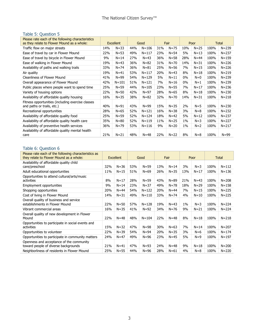# Table 5: Question 5

| Please rate each of the following characteristics<br>as they relate to Flower Mound as a whole: | <b>Excellent</b> |           |     | Good      | Fair |          | Poor  |          | Total |           |
|-------------------------------------------------------------------------------------------------|------------------|-----------|-----|-----------|------|----------|-------|----------|-------|-----------|
| Traffic flow on major streets                                                                   | 14%              | $N = 33$  | 44% | $N = 106$ | 31%  | $N = 75$ | 10%   | $N = 25$ | 100%  | $N = 239$ |
| Ease of travel by car in Flower Mound                                                           | 22%              | $N = 53$  | 49% | $N = 117$ | 23%  | $N = 54$ | 5%    | $N = 13$ | 100%  | $N = 237$ |
| Ease of travel by bicycle in Flower Mound                                                       | 9%               | $N = 14$  | 27% | $N = 43$  | 36%  | $N = 58$ | 28%   | $N = 44$ | 100%  | $N = 159$ |
| Ease of walking in Flower Mound                                                                 | 19%              | $N = 43$  | 36% | $N = 82$  | 31%  | $N = 70$ | 14%   | $N = 31$ | 100%  | $N = 226$ |
| Availability of paths and walking trails                                                        | 33%              | $N = 74$  | 36% | $N = 81$  | 25%  | $N = 56$ | 7%    | $N = 15$ | 100%  | $N = 226$ |
| Air quality                                                                                     | 19%              | $N = 41$  | 53% | $N = 117$ | 20%  | $N=43$   | 8%    | $N = 18$ | 100%  | $N = 219$ |
| <b>Cleanliness of Flower Mound</b>                                                              | 41%              | $N = 99$  | 54% | $N = 129$ | 5%   | $N=11$   | 0%    | $N=0$    | 100%  | $N = 239$ |
| Overall appearance of Flower Mound                                                              | 42%              | $N = 101$ | 51% | $N = 121$ | 7%   | $N = 16$ | $0\%$ | $N=1$    | 100%  | $N = 239$ |
| Public places where people want to spend time                                                   | 25%              | $N = 59$  | 44% | $N = 105$ | 23%  | $N = 55$ | 7%    | $N = 17$ | 100%  | $N = 236$ |
| Variety of housing options                                                                      | 22%              | $N = 50$  | 42% | $N = 97$  | 28%  | $N = 65$ | 8%    | $N=18$   | 100%  | $N = 230$ |
| Availability of affordable quality housing                                                      | 16%              | $N = 35$  | 38% | $N = 82$  | 32%  | $N = 70$ | 14%   | $N = 31$ | 100%  | $N = 218$ |
| Fitness opportunities (including exercise classes<br>and paths or trails, etc.)                 | 40%              | $N = 91$  | 43% | $N = 99$  | 15%  | $N = 35$ | 2%    | $N = 5$  | 100%  | $N = 230$ |
| Recreational opportunities                                                                      | 28%              | $N = 65$  | 52% | $N = 121$ | 16%  | $N = 38$ | 3%    | $N = 8$  | 100%  | $N = 232$ |
| Availability of affordable quality food                                                         | 25%              | $N = 59$  | 52% | $N = 124$ | 18%  | $N = 42$ | 5%    | $N = 12$ | 100%  | $N = 237$ |
| Availability of affordable quality health care                                                  | 35%              | $N = 80$  | 52% | $N = 119$ | 11%  | $N=25$   | $1\%$ | $N=3$    | 100%  | $N = 227$ |
| Availability of preventive health services                                                      | 36%              | $N = 79$  | 53% | $N = 116$ | 9%   | $N=20$   | $1\%$ | $N=2$    | 100%  | $N = 217$ |
| Availability of affordable quality mental health<br>care                                        | 21%              | $N = 21$  | 48% | $N = 48$  | 22%  | $N=22$   | 8%    | $N=8$    | 100%  | $N = 99$  |

# Table 6: Question 6

| Please rate each of the following characteristics as<br>they relate to Flower Mound as a whole: |     | <b>Excellent</b> | Good |           | Fair |          | Poor  |          |      | <b>Total</b> |
|-------------------------------------------------------------------------------------------------|-----|------------------|------|-----------|------|----------|-------|----------|------|--------------|
| Availability of affordable quality child<br>care/preschool                                      | 32% | $N = 36$         | 53%  | $N = 59$  | 13%  | $N = 14$ | 3%    | $N=3$    | 100% | $N = 112$    |
| Adult educational opportunities                                                                 | 11% | $N=15$           | 51%  | $N = 69$  | 26%  | $N = 35$ | 13%   | $N=17$   | 100% | $N = 136$    |
| Opportunities to attend cultural/arts/music<br>activities                                       | 8%  | $N=17$           | 28%  | $N = 59$  | 43%  | $N = 89$ | 21%   | $N = 43$ | 100% | $N = 208$    |
| Employment opportunities                                                                        | 9%  | $N = 14$         | 23%  | $N = 37$  | 49%  | $N = 78$ | 18%   | $N = 29$ | 100% | $N = 158$    |
| Shopping opportunities                                                                          | 20% | $N = 44$         | 54%  | $N = 122$ | 20%  | $N=44$   | 7%    | $N = 15$ | 100% | $N = 225$    |
| Cost of living in Flower Mound                                                                  | 14% | $N = 31$         | 49%  | $N = 110$ | 33%  | $N = 74$ | 4%    | $N=10$   | 100% | $N = 225$    |
| Overall quality of business and service<br>establishments in Flower Mound                       | 22% | $N = 50$         | 57%  | $N = 128$ | 19%  | $N = 43$ | $1\%$ | $N = 3$  | 100% | $N = 224$    |
| Vibrant commercial areas                                                                        | 16% | $N = 35$         | 41%  | $N = 92$  | 34%  | $N = 76$ | 9%    | $N = 21$ | 100% | $N = 224$    |
| Overall quality of new development in Flower<br>Mound                                           | 22% | $N = 48$         | 48%  | $N = 104$ | 22%  | $N = 48$ | 8%    | $N = 18$ | 100% | $N = 218$    |
| Opportunities to participate in social events and<br>activities                                 | 15% | $N = 32$         | 47%  | $N = 98$  | 30%  | $N = 63$ | 7%    | $N = 14$ | 100% | $N = 207$    |
| Opportunities to volunteer                                                                      | 22% | $N = 39$         | 54%  | $N = 94$  | 20%  | $N = 35$ | 3%    | $N=6$    | 100% | $N = 174$    |
| Opportunities to participate in community matters                                               | 24% | $N = 47$         | 49%  | $N = 96$  | 23%  | $N = 45$ | 5%    | $N=9$    | 100% | $N = 197$    |
| Openness and acceptance of the community<br>toward people of diverse backgrounds                | 21% | $N = 41$         | 47%  | $N = 93$  | 24%  | $N = 48$ | 9%    | $N=18$   | 100% | $N = 200$    |
| Neighborliness of residents in Flower Mound                                                     | 25% | $N = 55$         | 44%  | $N = 96$  | 28%  | $N = 61$ | 4%    | $N = 8$  | 100% | $N = 220$    |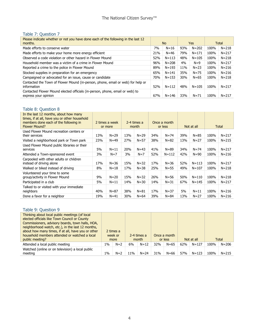#### Table 7: Question 7

| Please indicate whether or not you have done each of the following in the last 12<br>months.         |     | <b>No</b> |       | Yes.      |      | Total     |
|------------------------------------------------------------------------------------------------------|-----|-----------|-------|-----------|------|-----------|
| Made efforts to conserve water                                                                       | 7%  | $N = 16$  | 93%   | $N = 202$ | 100% | $N = 218$ |
| Made efforts to make your home more energy efficient                                                 | 21% | $N = 46$  | 79%   | $N = 171$ | 100% | $N = 217$ |
| Observed a code violation or other hazard in Flower Mound                                            | 52% | $N = 113$ | 48%   | $N = 105$ | 100% | $N = 218$ |
| Household member was a victim of a crime in Flower Mound                                             | 96% | $N = 208$ | $4\%$ | $N=9$     | 100% | $N = 217$ |
| Reported a crime to the police in Flower Mound                                                       | 89% | $N = 193$ | 11%   | $N=23$    | 100% | $N = 216$ |
| Stocked supplies in preparation for an emergency                                                     | 65% | $N = 141$ | 35%   | $N = 75$  | 100% | $N = 216$ |
| Campaigned or advocated for an issue, cause or candidate                                             | 70% | $N = 153$ | 30%   | $N = 65$  | 100% | $N = 218$ |
| Contacted the Town of Flower Mound (in-person, phone, email or web) for help or<br>information       | 52% | $N = 112$ | 48%   | $N = 105$ | 100% | $N = 217$ |
| Contacted Flower Mound elected officials (in-person, phone, email or web) to<br>express your opinion | 67% | N=146     | 33%   | $N = 71$  | 100% | $N = 217$ |

#### Table 8: Question 8

| In the last 12 months, about how many<br>times, if at all, have you or other household<br>members done each of the following in<br><b>Flower Mound?</b> |     | 2 times a week<br>or more |     | 2-4 times a<br>month |     | Once a month<br>or less |     | Not at all |      | Total     |
|---------------------------------------------------------------------------------------------------------------------------------------------------------|-----|---------------------------|-----|----------------------|-----|-------------------------|-----|------------|------|-----------|
| Used Flower Mound recreation centers or<br>their services                                                                                               | 13% | $N = 29$                  | 13% | $N = 29$             | 34% | $N = 74$                | 39% | $N = 85$   | 100% | $N = 217$ |
| Visited a neighborhood park or Town park                                                                                                                | 23% | $N = 49$                  | 27% | $N = 57$             | 38% | $N = 82$                | 13% | $N=27$     | 100% | $N = 215$ |
| Used Flower Mound public libraries or their<br>services                                                                                                 | 5%  | $N=11$                    | 20% | $N = 43$             | 41% | $N = 89$                | 34% | $N = 74$   | 100% | $N = 217$ |
| Attended a Town-sponsored event                                                                                                                         | 3%  | $N=7$                     | 3%  | $N=7$                | 52% | $N = 112$               | 42% | $N = 90$   | 100% | $N = 216$ |
| Carpooled with other adults or children<br>instead of driving alone                                                                                     | 17% | $N = 36$                  | 15% | $N = 32$             | 17% | $N = 36$                | 52% | $N = 113$  | 100% | $N = 217$ |
| Walked or biked instead of driving                                                                                                                      | 8%  | $N = 18$                  | 17% | $N = 38$             | 25% | $N = 55$                | 49% | $N = 107$  | 100% | $N = 218$ |
| Volunteered your time to some<br>group/activity in Flower Mound                                                                                         | 9%  | $N = 20$                  | 15% | $N = 32$             | 26% | $N = 56$                | 50% | $N = 110$  | 100% | $N = 218$ |
| Participated in a club                                                                                                                                  | 5%  | $N=11$                    | 14% | $N = 30$             | 14% | $N = 31$                | 67% | $N = 145$  | 100% | $N = 217$ |
| Talked to or visited with your immediate<br>neighbors                                                                                                   | 40% | $N = 87$                  | 38% | $N = 81$             | 17% | $N = 37$                | 5%  | $N = 11$   | 100% | $N = 216$ |
| Done a favor for a neighbor                                                                                                                             | 19% | $N = 41$                  | 30% | $N = 64$             | 39% | $N = 84$                | 13% | $N=27$     | 100% | $N = 216$ |

# Table 9: Question 9

| Thinking about local public meetings (of local<br>elected officials like Town Council or County<br>Commissioners, advisory boards, town halls, HOA,<br>neighborhood watch, etc.), in the last 12 months,<br>about how many times, if at all, have you or other<br>household members attended or watched a local<br>public meeting? |       | 2 times a<br>week or<br>more |     | 2-4 times a<br>month |     | Once a month<br>or less |     | Not at all |      | <b>Total</b> |
|------------------------------------------------------------------------------------------------------------------------------------------------------------------------------------------------------------------------------------------------------------------------------------------------------------------------------------|-------|------------------------------|-----|----------------------|-----|-------------------------|-----|------------|------|--------------|
| Attended a local public meeting                                                                                                                                                                                                                                                                                                    | $1\%$ | $N=2$                        | 6%  | $N = 12$             | 32% | $N = 65$                | 62% | $N = 127$  | 100% | $N = 206$    |
| Watched (online or on television) a local public<br>meeting                                                                                                                                                                                                                                                                        | 1%    | $N=2$                        | 11% | $N = 24$             | 31% | $N = 66$                | 57% | $N = 123$  | 100% | $N = 215$    |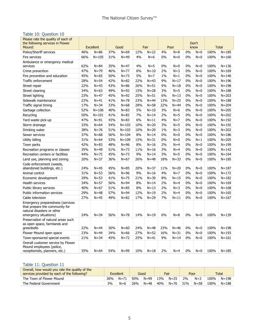## Table 10: Question 10

| Please rate the quality of each of<br>the following services in Flower                                                    |     |                              |     |                  |     |                |       |               |    | Don't         |      |                           |
|---------------------------------------------------------------------------------------------------------------------------|-----|------------------------------|-----|------------------|-----|----------------|-------|---------------|----|---------------|------|---------------------------|
| Mound:<br>Police/Sheriff services                                                                                         | 46% | <b>Excellent</b><br>$N = 86$ | 37% | Good<br>$N = 69$ | 12% | Fair<br>$N=22$ | 4%    | Poor<br>$N=8$ | 0% | know<br>$N=0$ | 100% | <b>Total</b><br>$N = 185$ |
| Fire services                                                                                                             | 66% | $N = 105$                    | 31% | $N=49$           | 4%  | $N=6$          | 0%    | $N=0$         | 0% | $N=0$         | 100% | $N = 160$                 |
|                                                                                                                           |     |                              |     |                  |     |                |       |               |    |               |      |                           |
| Ambulance or emergency medical<br>services                                                                                | 62% | $N = 84$                     | 35% | $N=47$           | 4%  | $N = 5$        | 0%    | $N=0$         | 0% | $N=0$         | 100% | $N = 136$                 |
| Crime prevention                                                                                                          | 47% | $N = 79$                     | 46% | $N = 77$         | 6%  | $N = 10$       | 2%    | $N=3$         | 0% | $N=0$         | 100% | $N = 169$                 |
| Fire prevention and education                                                                                             | 45% | $N=65$                       | 50% | $N = 73$         | 5%  | $N=7$          | $1\%$ | $N=1$         | 0% | $N=0$         | 100% | $N = 146$                 |
| Traffic enforcement                                                                                                       | 28% | $N = 54$                     | 42% | $N = 82$         | 22% | $N = 43$       | 9%    | $N = 17$      | 0% | $N=0$         | 100% | $N = 196$                 |
| Street repair                                                                                                             | 22% | $N = 43$                     | 43% | $N = 86$         | 26% | $N = 51$       | 9%    | $N = 18$      | 0% | $N=0$         | 100% | $N = 198$                 |
| Street cleaning                                                                                                           | 34% | $N=63$                       | 49% | $N=92$           | 15% | $N = 28$       | 3%    | $N = 5$       | 0% | $N=0$         | 100% | $N = 188$                 |
| Street lighting                                                                                                           | 23% | $N=47$                       | 45% | $N=92$           | 25% | $N = 51$       | 6%    | $N=13$        | 0% | $N=0$         | 100% | $N = 203$                 |
| Sidewalk maintenance                                                                                                      | 22% | $N = 41$                     | 41% | $N = 78$         | 23% | $N = 44$       | 13%   | $N = 25$      | 0% | $N=0$         | 100% | $N = 188$                 |
| Traffic signal timing                                                                                                     | 17% | $N = 34$                     | 33% | $N = 68$         | 28% | $N = 58$       | 22%   | $N = 44$      | 0% | $N=0$         | 100% | $N = 204$                 |
| Garbage collection                                                                                                        | 52% | $N = 106$                    | 40% | $N = 83$         | 5%  | $N = 10$       | 3%    | $N=6$         | 0% | $N=0$         | 100% | $N = 205$                 |
| Recycling                                                                                                                 | 50% | $N = 101$                    | 41% | $N = 82$         | 7%  | $N = 14$       | 2%    | $N = 5$       | 0% | $N=0$         | 100% | $N = 202$                 |
| Yard waste pick-up                                                                                                        | 47% | $N=91$                       | 43% | $N = 83$         | 6%  | $N = 11$       | 4%    | $N=7$         | 0% | $N=0$         | 100% | $N = 192$                 |
| Storm drainage                                                                                                            | 33% | $N = 64$                     | 54% | $N = 103$        | 10% | $N = 20$       | 3%    | $N = 5$       | 0% | $N=0$         | 100% | $N = 192$                 |
| Drinking water                                                                                                            | 38% | $N = 76$                     | 51% | $N = 103$        | 10% | $N = 20$       | $1\%$ | $N = 3$       | 0% | $N=0$         | 100% | $N = 202$                 |
| Sewer services                                                                                                            | 37% | $N = 68$                     | 56% | $N = 104$        | 8%  | $N = 14$       | 0%    | $N=0$         | 0% | $N=0$         | 100% | $N = 186$                 |
| Utility billing                                                                                                           | 31% | $N = 64$                     | 53% | $N = 109$        | 15% | $N = 31$       | 0%    | $N=0$         | 0% | $N=1$         | 100% | $N = 205$                 |
| Town parks                                                                                                                | 42% | $N = 83$                     | 48% | $N = 96$         | 8%  | $N = 16$       | 2%    | $N=4$         | 0% | $N=0$         | 100% | $N = 199$                 |
| Recreation programs or classes                                                                                            | 35% | $N=49$                       | 51% | $N = 73$         | 11% | $N=16$         | 3%    | $N=4$         | 0% | $N=0$         | 100% | $N = 142$                 |
| Recreation centers or facilities                                                                                          | 44% | $N = 72$                     | 45% | $N = 73$         | 9%  | $N = 14$       | 3%    | $N = 5$       | 0% | $N=0$         | 100% | $N = 164$                 |
| Land use, planning and zoning                                                                                             | 20% | $N = 37$                     | 36% | $N = 67$         | 26% | $N = 48$       | 18%   | $N = 33$      | 0% | $N=0$         | 100% | $N = 185$                 |
| Code enforcement (weeds,                                                                                                  |     |                              |     |                  |     |                |       |               |    |               |      |                           |
| abandoned buildings, etc.)                                                                                                | 24% | $N=45$                       | 45% | $N = 85$         | 20% | $N = 37$       | 11%   | $N = 20$      | 0% | $N=0$         | 100% | $N = 187$                 |
| Animal control                                                                                                            | 31% | $N = 53$                     | 56% | $N = 96$         | 9%  | $N=16$         | 4%    | $N=7$         | 0% | $N=0$         | 100% | $N = 172$                 |
| Economic development                                                                                                      | 29% | $N = 53$                     | 41% | $N = 75$         | 21% | $N = 39$       | 8%    | $N = 15$      | 0% | $N=0$         | 100% | $N = 182$                 |
| Health services                                                                                                           | 34% | $N = 57$                     | 56% | $N = 94$         | 8%  | $N = 14$       | 2%    | $N=4$         | 0% | $N=0$         | 100% | $N = 169$                 |
| Public library services                                                                                                   | 40% | $N = 67$                     | 51% | $N = 85$         | 8%  | $N = 13$       | 2%    | $N=3$         | 0% | $N=0$         | 100% | $N = 168$                 |
| Public information services                                                                                               | 29% | $N = 48$                     | 57% | $N = 94$         | 12% | $N = 19$       | 2%    | $N=4$         | 0% | $N=0$         | 100% | $N = 165$                 |
| Cable television                                                                                                          | 27% | $N=45$                       | 49% | $N = 82$         | 17% | $N = 29$       | 7%    | $N=11$        | 0% | $N=0$         | 100% | $N = 167$                 |
| Emergency preparedness (services<br>that prepare the community for<br>natural disasters or other<br>emergency situations) | 24% | $N = 34$                     | 56% | $N = 78$         | 14% | $N=19$         | 6%    | $N = 8$       | 0% | $N=0$         | 100% | $N = 139$                 |
| Preservation of natural areas such<br>as open space, farmlands and<br>greenbelts                                          | 22% | $N = 44$                     | 30% | $N = 60$         | 24% | $N = 48$       | 23%   | $N = 46$      | 0% | $N=0$         | 100% | $N = 198$                 |
| Flower Mound open space                                                                                                   | 23% | $N = 44$                     | 34% | $N = 66$         | 27% | $N = 52$       | 16%   | $N = 31$      | 0% | $N=0$         | 100% | $N = 193$                 |
| Town-sponsored special events                                                                                             | 21% | $N = 34$                     | 45% | $N = 72$         | 25% | $N=41$         | 9%    | $N=14$        | 0% | $N=0$         | 100% | $N = 161$                 |
| Overall customer service by Flower<br>Mound employees (police,<br>receptionists, planners, etc.)                          | 35% | $N = 64$                     | 54% | $N = 99$         | 10% | $N=18$         | 2%    | $N=4$         | 0% | $N=0$         | 100% | $N = 185$                 |

# Table 11: Question 11

| Overall, how would you rate the quality of the<br>services provided by each of the following? |     | <b>Excellent</b> |     | Good     |            | Fair     |     | Poor     |      | <b>Total</b> |
|-----------------------------------------------------------------------------------------------|-----|------------------|-----|----------|------------|----------|-----|----------|------|--------------|
| The Town of Flower Mound                                                                      | 36% | $N = 71$         | 50% | $N = 99$ | <b>13%</b> | $N = 25$ | 2%  | $N = 3$  | 100% | $N = 198$    |
| The Federal Government                                                                        | 3%  | $N=6$            | 26% | $N = 48$ | 40%        | $N = 76$ | 31% | $N = 58$ | 100% | $N = 188$    |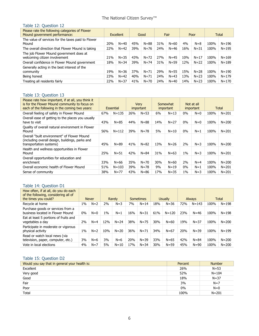# The National Citizen Survey™

# Table 12: Question 12

| Please rate the following categories of Flower<br>Mound government performance: |     | <b>Excellent</b> |     | Good     |     | Fair     |     | Poor     |      | <b>Total</b> |
|---------------------------------------------------------------------------------|-----|------------------|-----|----------|-----|----------|-----|----------|------|--------------|
| The value of services for the taxes paid to Flower<br>Mound                     | 20% | $N = 40$         | 45% | $N = 88$ | 31% | $N = 60$ | 4%  | $N = 8$  | 100% | $N = 196$    |
| The overall direction that Flower Mound is taking                               | 22% | $N=42$           | 39% | $N = 76$ | 24% | $N = 46$ | 16% | $N = 31$ | 100% | $N = 195$    |
| The job Flower Mound government does at<br>welcoming citizen involvement        | 21% | $N = 35$         | 43% | $N = 72$ | 27% | $N = 45$ | 10% | $N = 17$ | 100% | $N = 169$    |
| Overall confidence in Flower Mound government                                   | 18% | $N = 34$         | 39% | $N = 74$ | 31% | $N = 59$ | 12% | $N = 22$ | 100% | $N = 189$    |
| Generally acting in the best interest of the<br>community                       | 19% | $N = 36$         | 37% | $N = 71$ | 29% | $N = 55$ | 15% | $N = 28$ | 100% | $N = 190$    |
| Being honest                                                                    | 23% | $N = 42$         | 40% | $N = 71$ | 24% | $N = 43$ | 13% | $N = 23$ | 100% | $N = 179$    |
| Treating all residents fairly                                                   | 22% | $N = 37$         | 41% | $N = 70$ | 24% | $N = 40$ | 14% | $N = 23$ | 100% | $N = 170$    |

# Table 13: Question 13

| Please rate how important, if at all, you think it<br>is for the Flower Mound community to focus on<br>each of the following in the coming two years: |     | Essential |     | Verv<br>important |     | Somewhat<br>important |       | Not at all<br>important |      | Total     |
|-------------------------------------------------------------------------------------------------------------------------------------------------------|-----|-----------|-----|-------------------|-----|-----------------------|-------|-------------------------|------|-----------|
| Overall feeling of safety in Flower Mound                                                                                                             | 67% | $N = 135$ | 26% | $N = 53$          | 6%  | $N = 13$              | $0\%$ | $N=0$                   | 100% | $N = 201$ |
| Overall ease of getting to the places you usually<br>have to visit                                                                                    | 43% | $N = 85$  | 44% | $N = 88$          | 14% | $N = 27$              | $0\%$ | $N=0$                   | 100% | $N = 200$ |
| Quality of overall natural environment in Flower<br>Mound                                                                                             | 56% | $N = 112$ | 39% | $N = 78$          | 5%  | $N = 10$              | $0\%$ | $N=1$                   | 100% | $N = 201$ |
| Overall "built environment" of Flower Mound<br>(including overall design, buildings, parks and<br>transportation systems)                             | 45% | $N = 89$  | 41% | $N = 82$          | 13% | $N = 26$              | 2%    | $N=3$                   | 100% | $N = 200$ |
| Health and wellness opportunities in Flower<br>Mound                                                                                                  | 25% | $N = 51$  | 42% | $N = 84$          | 31% | $N = 63$              | $1\%$ | $N=3$                   | 100% | $N = 201$ |
| Overall opportunities for education and<br>enrichment                                                                                                 | 33% | $N = 66$  | 35% | $N = 70$          | 30% | $N = 60$              | 2%    | $N=4$                   | 100% | $N = 200$ |
| Overall economic health of Flower Mound                                                                                                               | 51% | $N = 103$ | 39% | $N = 78$          | 9%  | $N=19$                | $0\%$ | $N=1$                   | 100% | $N = 201$ |
| Sense of community                                                                                                                                    | 38% | $N = 77$  | 43% | $N = 86$          | 17% | $N = 35$              | $1\%$ | $N = 3$                 | 100% | $N = 201$ |

# Table 14: Question D1

| How often, if at all, do you do each<br>of the following, considering all of<br>the times you could? |       | <b>Never</b> |     | Rarely   |     | Sometimes |     | <b>Usually</b> |            | <b>Always</b> |      | Total     |
|------------------------------------------------------------------------------------------------------|-------|--------------|-----|----------|-----|-----------|-----|----------------|------------|---------------|------|-----------|
| Recycle at home                                                                                      | $1\%$ | $N=2$        | 2%  | $N = 3$  | 7%  | $N = 14$  | 18% | $N = 36$       | <b>72%</b> | $N = 143$     | 100% | $N = 198$ |
| Purchase goods or services from a<br>business located in Flower Mound                                | $0\%$ | $N=0$        | 1%  | $N=1$    | 16% | $N = 31$  | 61% | $N = 120$      | 23%        | $N = 46$      | 100% | $N = 198$ |
| Eat at least 5 portions of fruits and<br>vegetables a day                                            | 2%    | $N=4$        | 12% | $N = 24$ | 38% | $N = 75$  | 30% | $N = 60$       | 19%        | $N = 37$      | 100% | $N = 200$ |
| Participate in moderate or vigorous<br>physical activity                                             | $1\%$ | $N=2$        | 10% | $N = 20$ | 36% | $N = 71$  | 34% | $N = 67$       | 20%        | $N = 39$      | 100% | $N = 199$ |
| Read or watch local news (via<br>television, paper, computer, etc.)                                  | 3%    | $N=6$        | 3%  | $N=6$    | 20% | $N = 39$  | 33% | $N = 65$       | 42%        | $N = 84$      | 100% | $N = 200$ |
| Vote in local elections                                                                              | 4%    | $N=7$        | 5%  | $N = 10$ | 17% | $N = 34$  | 30% | $N = 59$       | 45%        | $N = 90$      | 100% | $N = 200$ |

#### Table 15: Question D2

| Would you say that in general your health is: | Percent | <b>Number</b> |
|-----------------------------------------------|---------|---------------|
| Excellent                                     | 26%     | $N=53$        |
| Very good                                     | 52%     | $N = 104$     |
| Good                                          | 18%     | $N=37$        |
| Fair                                          | 3%      | $N=7$         |
| Poor                                          | $0\%$   | $N=0$         |
| <b>Total</b>                                  | 100%    | $N = 201$     |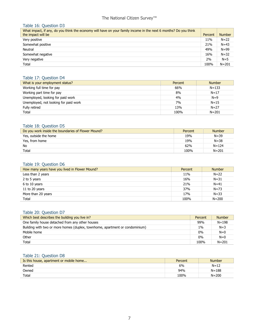# The National Citizen Survey™

### Table 16: Question D3

| What impact, if any, do you think the economy will have on your family income in the next 6 months? Do you think<br>the impact will be | Percent | <b>Number</b> |
|----------------------------------------------------------------------------------------------------------------------------------------|---------|---------------|
| Very positive                                                                                                                          | 11%     | $N = 22$      |
| Somewhat positive                                                                                                                      | 21%     | $N = 43$      |
| Neutral                                                                                                                                | 49%     | $N = 99$      |
| Somewhat negative                                                                                                                      | 16%     | $N = 32$      |
| Very negative                                                                                                                          | 2%      | $N=5$         |
| Total                                                                                                                                  | 100%    | $N = 201$     |

## Table 17: Question D4

| What is your employment status?       | Percent | <b>Number</b> |
|---------------------------------------|---------|---------------|
| Working full time for pay             | 66%     | $N = 133$     |
| Working part time for pay             | 8%      | $N = 17$      |
| Unemployed, looking for paid work     | 4%      | $N=9$         |
| Unemployed, not looking for paid work | 7%      | $N = 15$      |
| Fully retired                         | 13%     | $N = 27$      |
| Total                                 | 100%    | $N = 201$     |

#### Table 18: Question D5

| Do you work inside the boundaries of Flower Mound? | Percent | <b>Number</b> |
|----------------------------------------------------|---------|---------------|
| Yes, outside the home                              | 19%     | $N = 39$      |
| Yes, from home                                     | 19%     | $N = 38$      |
| No                                                 | 62%     | $N = 124$     |
| Total                                              | 100%    | $N = 201$     |

#### Table 19: Question D6

| How many years have you lived in Flower Mound? | Percent | <b>Number</b> |
|------------------------------------------------|---------|---------------|
| Less than 2 years                              | 11%     | $N = 22$      |
| 2 to 5 years                                   | 16%     | $N = 31$      |
| 6 to 10 years                                  | 21%     | $N = 41$      |
| 11 to 20 years                                 | 37%     | $N = 73$      |
| More than 20 years                             | 17%     | $N = 33$      |
| Total                                          | 100%    | $N = 200$     |

### Table 20: Question D7

| Which best describes the building you live in?                               | Percent | <b>Number</b> |
|------------------------------------------------------------------------------|---------|---------------|
| One family house detached from any other houses                              | 99%     | $N = 198$     |
| Building with two or more homes (duplex, townhome, apartment or condominium) | 1%      | $N=3$         |
| Mobile home                                                                  | $0\%$   | $N=0$         |
| Other                                                                        | $0\%$   | $N=0$         |
| Total                                                                        | 100%    | $N = 201$     |

# Table 21: Question D8

| Is this house, apartment or mobile home | Percent | <b>Number</b> |
|-----------------------------------------|---------|---------------|
| Rented                                  | 6%      | $N = 12$      |
| Owned                                   | 94%     | $N = 188$     |
| Total                                   | 100%    | $N = 200$     |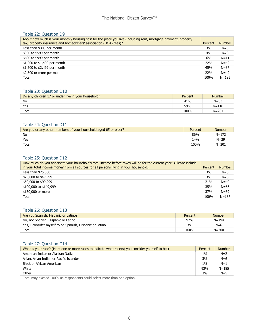#### Table 22: Question D9

| About how much is your monthly housing cost for the place you live (including rent, mortgage payment, property<br>tax, property insurance and homeowners' association (HOA) fees)? | Percent    | <b>Number</b> |
|------------------------------------------------------------------------------------------------------------------------------------------------------------------------------------|------------|---------------|
| Less than \$300 per month                                                                                                                                                          | 3%         | $N=5$         |
| \$300 to \$599 per month                                                                                                                                                           | 4%         | $N = 8$       |
| \$600 to \$999 per month                                                                                                                                                           | 6%         | $N=11$        |
| \$1,000 to \$1,499 per month                                                                                                                                                       | <b>22%</b> | $N = 42$      |
| \$1,500 to \$2,499 per month                                                                                                                                                       | 45%        | $N = 87$      |
| \$2,500 or more per month                                                                                                                                                          | 22%        | $N = 42$      |
| Total                                                                                                                                                                              | 100%       | $N = 195$     |

#### Table 23: Question D10

| Do any children 17 or under live in your household? | Percent | <b>Number</b> |
|-----------------------------------------------------|---------|---------------|
| No                                                  | 41%     | $N = 83$      |
| Yes                                                 | 59%     | $N = 118$     |
| Total                                               | 100%    | $N = 201$     |

#### Table 24: Question D11

| Are you or any other members of your household aged 65 or older? | Percent | <b>Number</b> |
|------------------------------------------------------------------|---------|---------------|
| No                                                               | 86%     | $N = 172$     |
| Yes                                                              | 14%     | $N = 29$      |
| Total                                                            | 100%    | $N = 201$     |

#### Table 25: Question D12

| How much do you anticipate your household's total income before taxes will be for the current year? (Please include<br>in your total income money from all sources for all persons living in your household.) | Percent | <b>Number</b> |
|---------------------------------------------------------------------------------------------------------------------------------------------------------------------------------------------------------------|---------|---------------|
| Less than $$25,000$                                                                                                                                                                                           | 3%      | $N=6$         |
| \$25,000 to \$49,999                                                                                                                                                                                          | 3%      | $N=6$         |
| \$50,000 to \$99,999                                                                                                                                                                                          | 21%     | $N = 40$      |
| \$100,000 to \$149,999                                                                                                                                                                                        | 35%     | $N = 66$      |
| \$150,000 or more                                                                                                                                                                                             | 37%     | $N = 69$      |
| Total                                                                                                                                                                                                         | 100%    | $N = 187$     |

# Table 26: Question D13

| Are you Spanish, Hispanic or Latino?                     | Percent | <b>Number</b> |
|----------------------------------------------------------|---------|---------------|
| No, not Spanish, Hispanic or Latino                      | 97%     | $N = 194$     |
| Yes, I consider myself to be Spanish, Hispanic or Latino | 3%      | $N=6$         |
| Total                                                    | 100%    | $N = 200$     |

### Table 27: Question D14

| What is your race? (Mark one or more races to indicate what race(s) you consider yourself to be.) | Percent | <b>Number</b> |
|---------------------------------------------------------------------------------------------------|---------|---------------|
| American Indian or Alaskan Native                                                                 | $1\%$   | $N=2$         |
| Asian, Asian Indian or Pacific Islander                                                           | 3%      | $N=6$         |
| Black or African American                                                                         | 1%      | $N=1$         |
| White                                                                                             | 93%     | $N = 185$     |
| Other                                                                                             | 3%      | $N=5$         |

Total may exceed 100% as respondents could select more than one option.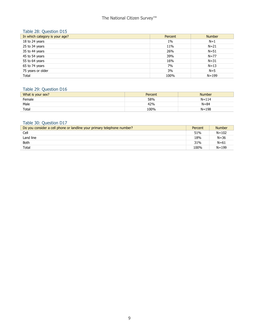# The National Citizen Survey<sup>™</sup>

# Table 28: Question D15

| In which category is your age? | Percent | <b>Number</b> |
|--------------------------------|---------|---------------|
| 18 to 24 years                 | $1\%$   | $N=1$         |
| 25 to 34 years                 | 11%     | $N = 21$      |
| 35 to 44 years                 | 26%     | $N = 51$      |
| 45 to 54 years                 | 39%     | $N = 77$      |
| 55 to 64 years                 | 16%     | $N = 31$      |
| 65 to 74 years                 | 7%      | $N = 13$      |
| 75 years or older              | 3%      | $N=5$         |
| Total                          | 100%    | $N = 199$     |

# Table 29: Question D16

| What is your sex? | Percent | <b>Number</b> |
|-------------------|---------|---------------|
| Female            | 58%     | $N = 114$     |
| Male              | 42%     | $N = 84$      |
| Total             | 100%    | $N = 198$     |

# Table 30: Question D17

| Do you consider a cell phone or landline your primary telephone number? | Percent | <b>Number</b> |
|-------------------------------------------------------------------------|---------|---------------|
| Cell                                                                    | 51%     | $N = 102$     |
| Land line                                                               | 18%     | $N = 36$      |
| <b>Both</b>                                                             | 31%     | $N = 61$      |
| Total                                                                   | 100%    | $N = 199$     |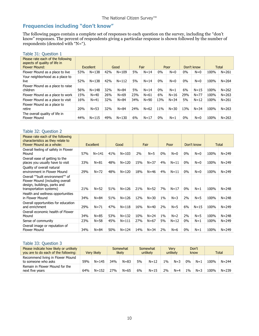# **Frequencies including "don't know"**

The following pages contain a complete set of responses to each question on the survey, including the "don't know" responses. The percent of respondents giving a particular response is shown followed by the number of respondents (denoted with "N=").

## Table 31: Question 1

| Please rate each of the following<br>aspects of quality of life in<br><b>Flower Mound:</b> | Excellent |           | Good |           | Fair |          | Poor  |          | Don't know |          | <b>Total</b> |           |
|--------------------------------------------------------------------------------------------|-----------|-----------|------|-----------|------|----------|-------|----------|------------|----------|--------------|-----------|
| Flower Mound as a place to live                                                            | 53%       | $N = 138$ | 42%  | $N = 109$ | 5%   | $N = 14$ | $0\%$ | $N=0$    | $0\%$      | $N=0$    | 100%         | $N = 261$ |
| Your neighborhood as a place to<br>live                                                    | 52%       | $N = 138$ | 42%  | $N = 112$ | 5%   | $N = 14$ | $0\%$ | $N=0$    | $0\%$      | $N=0$    | 100%         | $N = 264$ |
| Flower Mound as a place to raise<br>children                                               | 56%       | $N = 148$ | 32%  | $N = 84$  | 5%   | $N=14$   | $0\%$ | $N=1$    | 6%         | $N=15$   | 100%         | $N = 262$ |
| Flower Mound as a place to work                                                            | 15%       | $N = 40$  | 26%  | $N = 69$  | 23%  | $N=61$   | 6%    | $N = 16$ | 29%        | $N = 77$ | 100%         | $N = 263$ |
| Flower Mound as a place to visit                                                           | 16%       | $N=41$    | 32%  | $N = 84$  | 34%  | $N = 90$ | 13%   | $N = 34$ | 5%         | $N=12$   | 100%         | $N = 261$ |
| Flower Mound as a place to<br>retire                                                       | 20%       | $N = 53$  | 32%  | $N = 84$  | 24%  | $N = 62$ | 11%   | $N = 30$ | 13%        | $N = 34$ | 100%         | $N = 263$ |
| The overall quality of life in<br>Flower Mound                                             | 44%       | $N = 115$ | 49%  | $N = 130$ | 6%   | $N = 17$ | 0%    | $N=1$    | $0\%$      | $N=0$    | 100%         | $N = 263$ |

#### Table 32: Question 2

| Please rate each of the following<br>characteristics as they relate to<br>Flower Mound as a whole:                             | <b>Excellent</b> |           | Good |           |     | Fair     |       | Poor     |       | Don't know | <b>Total</b> |           |
|--------------------------------------------------------------------------------------------------------------------------------|------------------|-----------|------|-----------|-----|----------|-------|----------|-------|------------|--------------|-----------|
| Overall feeling of safety in Flower<br>Mound                                                                                   | 57%              | $N = 141$ | 41%  | $N = 103$ | 2%  | $N=5$    | $0\%$ | $N=0$    | $0\%$ | $N=0$      | 100%         | $N = 249$ |
| Overall ease of getting to the<br>places you usually have to visit                                                             | 33%              | $N = 81$  | 48%  | $N = 120$ | 15% | $N = 37$ | 4%    | $N=11$   | $0\%$ | $N=0$      | 100%         | $N = 249$ |
| Quality of overall natural<br>environment in Flower Mound                                                                      | 29%              | $N = 72$  | 48%  | $N = 120$ | 18% | $N = 46$ | 4%    | $N=11$   | $0\%$ | $N=0$      | 100%         | $N = 249$ |
| Overall ""built environment"" of<br>Flower Mound (including overall<br>design, buildings, parks and<br>transportation systems) | 21%              | $N = 52$  | 51%  | $N = 126$ | 21% | $N = 52$ | 7%    | $N = 17$ | 0%    | $N=1$      | 100%         | $N = 248$ |
| Health and wellness opportunities<br>in Flower Mound                                                                           | 34%              | $N = 84$  | 51%  | $N = 126$ | 12% | $N = 30$ | $1\%$ | $N = 3$  | 2%    | $N = 5$    | 100%         | $N = 248$ |
| Overall opportunities for education<br>and enrichment                                                                          | 29%              | $N = 71$  | 47%  | $N = 118$ | 16% | $N=40$   | 2%    | $N=5$    | 6%    | $N = 15$   | 100%         | $N = 249$ |
| Overall economic health of Flower<br>Mound                                                                                     | 34%              | $N = 85$  | 53%  | $N = 132$ | 10% | $N = 24$ | $1\%$ | $N=2$    | 2%    | $N = 5$    | 100%         | $N = 248$ |
| Sense of community                                                                                                             | 23%              | $N = 58$  | 45%  | $N = 111$ | 27% | $N = 67$ | 5%    | $N=12$   | 0%    | $N=1$      | 100%         | $N = 249$ |
| Overall image or reputation of<br><b>Flower Mound</b>                                                                          | 34%              | $N = 84$  | 50%  | $N = 124$ | 14% | $N = 34$ | 2%    | $N=6$    | 0%    | $N=1$      | 100%         | $N = 249$ |

#### Table 33: Question 3

| Please indicate how likely or unlikely<br>you are to do each of the following: | Very likely |           | Somewhat<br>likely |          | Somewhat<br>unlikely |          | Very<br>unlikely |       | Don't<br>know |       | <b>Total</b> |           |
|--------------------------------------------------------------------------------|-------------|-----------|--------------------|----------|----------------------|----------|------------------|-------|---------------|-------|--------------|-----------|
| Recommend living in Flower Mound<br>to someone who asks                        | 59%         | $N = 145$ | 34%                | $N = 83$ | 5%                   | $N = 12$ | $1\%$            | $N=3$ | $0\%$         | $N=1$ | 100%         | $N = 244$ |
| Remain in Flower Mound for the<br>next five years                              | 64%         | $N = 152$ | 27%                | $N = 65$ | 6%                   | $N = 15$ | 2%               | $N=4$ | $1\%$         | $N=3$ | 100%         | $N = 239$ |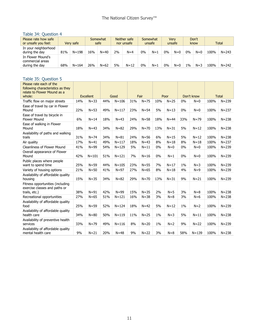#### Table 34: Question 4

| Please rate how safe<br>or unsafe you feel:             | Very safe |           |     | Somewhat<br>safe |    | Neither safe<br>nor unsafe |    | Somewhat<br>unsafe |       | <b>Verv</b><br>unsafe |       | Don't<br>know |      | <b>Total</b> |  |
|---------------------------------------------------------|-----------|-----------|-----|------------------|----|----------------------------|----|--------------------|-------|-----------------------|-------|---------------|------|--------------|--|
| In your neighborhood<br>during the day                  | 81%       | $N = 198$ | 16% | $N = 40$         | 2% | $N=4$                      | 0% | $N=1$              | $0\%$ | $N=0$                 | $0\%$ | $N=0$         | 100% | $N = 243$    |  |
| In Flower Mound's<br>commercial areas<br>during the day | 68%       | $N = 164$ | 26% | $N = 62$         | 5% | $N = 12$                   | 0% | $N=1$              | 0%    | $N=0$                 | $1\%$ | $N = 3$       | 100% | $N = 242$    |  |

#### Table 35: Question 5 Please rate each of the following characteristics as they relate to Flower Mound as a whole: Excellent Good Fair Poor Don't know Total Traffic flow on major streets 14% N=33 44% N=106 31% N=75 10% N=25 0% N=0 100% N=239 Ease of travel by car in Flower Mound 22% N=53 49% N=117 23% N=54 5% N=13 0% N=0 100% N=237 Ease of travel by bicycle in Flower Mound 6% N=14 18% N=43 24% N=58 18% N=44 33% N=79 100% N=238 Ease of walking in Flower Mound 18% N=43 34% N=82 29% N=70 13% N=31 5% N=12 100% N=238 Availability of paths and walking trails 31% N=74 34% N=81 24% N=56 6% N=15 5% N=12 100% N=238 Air quality 17% N=41 49% N=117 18% N=43 8% N=18 8% N=18 100% N=237 Cleanliness of Flower Mound 41% N=99 54% N=129 5% N=11 0% N=0 0% N=0 100% N=239 Overall appearance of Flower Mound 42% N=101 51% N=121 7% N=16 0% N=1 0% N=0 100% N=239 Public places where people want to spend time 25% N=59 44% N=105 23% N=55 7% N=17 1% N=3 100% N=239 Variety of housing options 21% N=50 41% N=97 27% N=65 8% N=18 4% N=9 100% N=239 Availability of affordable quality housing 15% N=35 34% N=82 29% N=70 13% N=31 9% N=21 100% N=239 Fitness opportunities (including exercise classes and paths or trails, etc.) 38% N=91 42% N=99 15% N=35 2% N=5 3% N=8 100% N=238 Recreational opportunities 27% N=65 51% N=121 16% N=38 3% N=8 3% N=6 100% N=238 Availability of affordable quality food 25% N=59 52% N=124 18% N=42 5% N=12 1% N=2 100% N=239 Availability of affordable quality health care | 34% | N=80 | 50% | N=119 | 11% | N=25 | 1% | N=3 | 5% | N=11 | 100% | N=238 Availability of preventive health services 33% N=79 49% N=116 8% N=20 1% N=2 9% N=22 100% N=239 Availability of affordable quality mental health care 9% N=21 20% N=48 9% N=22 3% N=8 58% N=139 100% N=238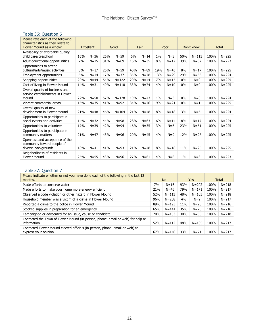# Table 36: Question 6

| Please rate each of the following<br>characteristics as they relate to<br>Flower Mound as a whole: | Excellent |          | Good |           | Fair |          | Poor  |          | Don't know |           | <b>Total</b> |           |
|----------------------------------------------------------------------------------------------------|-----------|----------|------|-----------|------|----------|-------|----------|------------|-----------|--------------|-----------|
| Availability of affordable quality<br>child care/preschool                                         | 16%       | $N = 36$ | 26%  | $N = 59$  | 6%   | $N = 14$ | $1\%$ | $N=3$    | 50%        | $N = 113$ | 100%         | $N = 225$ |
| Adult educational opportunities                                                                    | 7%        | $N = 15$ | 31%  | $N = 69$  | 16%  | $N = 35$ | 8%    | $N=17$   | 39%        | $N = 87$  | 100%         | $N = 223$ |
| Opportunities to attend<br>cultural/arts/music activities                                          | 8%        | $N = 17$ | 26%  | $N = 59$  | 40%  | $N = 89$ | 19%   | $N = 43$ | 8%         | $N = 17$  | 100%         | $N = 225$ |
| Employment opportunities                                                                           | 6%        | $N = 14$ | 17%  | $N = 37$  | 35%  | $N = 78$ | 13%   | $N = 29$ | 29%        | $N = 66$  | 100%         | $N = 224$ |
| Shopping opportunities                                                                             | 20%       | $N = 44$ | 54%  | $N = 122$ | 20%  | $N = 44$ | 7%    | $N = 15$ | 0%         | $N=0$     | 100%         | $N = 225$ |
| Cost of living in Flower Mound                                                                     | 14%       | $N = 31$ | 49%  | $N = 110$ | 33%  | $N = 74$ | 4%    | $N = 10$ | 0%         | $N=0$     | 100%         | $N = 225$ |
| Overall quality of business and<br>service establishments in Flower<br>Mound                       | 22%       | $N = 50$ | 57%  | $N = 128$ | 19%  | $N = 43$ | 1%    | $N=3$    | 0%         | $N=0$     | 100%         | $N = 224$ |
| Vibrant commercial areas                                                                           | 16%       | $N = 35$ | 41%  | $N=92$    | 34%  | $N = 76$ | 9%    | $N = 21$ | 0%         | $N=1$     | 100%         | $N = 225$ |
| Overall quality of new<br>development in Flower Mound                                              | 21%       | $N = 48$ | 46%  | $N = 104$ | 21%  | $N = 48$ | 8%    | $N = 18$ | 3%         | $N=6$     | 100%         | $N = 224$ |
| Opportunities to participate in<br>social events and activities                                    | 14%       | $N = 32$ | 44%  | $N = 98$  | 28%  | $N = 63$ | 6%    | $N = 14$ | 8%         | $N = 17$  | 100%         | $N = 224$ |
| Opportunities to volunteer                                                                         | 17%       | $N = 39$ | 42%  | $N = 94$  | 16%  | $N = 35$ | 3%    | $N=6$    | 23%        | $N = 51$  | 100%         | $N = 225$ |
| Opportunities to participate in<br>community matters                                               | 21%       | $N=47$   | 43%  | $N = 96$  | 20%  | $N=45$   | 4%    | $N=9$    | 12%        | $N = 28$  | 100%         | $N = 225$ |
| Openness and acceptance of the<br>community toward people of<br>diverse backgrounds                | 18%       | $N = 41$ | 41%  | $N = 93$  | 21%  | $N = 48$ | 8%    | $N = 18$ | 11%        | $N = 25$  | 100%         | $N = 225$ |
| Neighborliness of residents in<br><b>Flower Mound</b>                                              | 25%       | $N = 55$ | 43%  | $N = 96$  | 27%  | $N = 61$ | 4%    | $N = 8$  | $1\%$      | $N=3$     | 100%         | $N = 223$ |

# Table 37: Question 7

| Please indicate whether or not you have done each of the following in the last 12<br>months.         |     | No.       |     | Yes       |      | Total     |
|------------------------------------------------------------------------------------------------------|-----|-----------|-----|-----------|------|-----------|
| Made efforts to conserve water                                                                       | 7%  | $N = 16$  | 93% | $N = 202$ | 100% | $N = 218$ |
| Made efforts to make your home more energy efficient                                                 | 21% | $N = 46$  | 79% | $N = 171$ | 100% | $N = 217$ |
| Observed a code violation or other hazard in Flower Mound                                            | 52% | $N = 113$ | 48% | $N = 105$ | 100% | $N = 218$ |
| Household member was a victim of a crime in Flower Mound                                             | 96% | $N = 208$ | 4%  | $N=9$     | 100% | $N = 217$ |
| Reported a crime to the police in Flower Mound                                                       | 89% | $N = 193$ | 11% | $N = 23$  | 100% | $N = 216$ |
| Stocked supplies in preparation for an emergency                                                     | 65% | $N = 141$ | 35% | $N = 75$  | 100% | $N = 216$ |
| Campaigned or advocated for an issue, cause or candidate                                             | 70% | $N = 153$ | 30% | $N = 65$  | 100% | $N = 218$ |
| Contacted the Town of Flower Mound (in-person, phone, email or web) for help or<br>information       | 52% | $N = 112$ | 48% | $N = 105$ | 100% | $N = 217$ |
| Contacted Flower Mound elected officials (in-person, phone, email or web) to<br>express your opinion | 67% | $N = 146$ | 33% | $N = 71$  | 100% | $N = 217$ |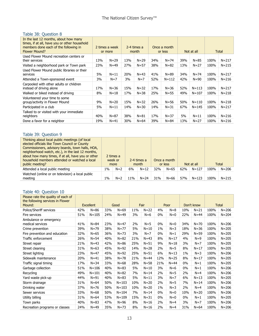#### Table 38: Question 8

| In the last 12 months, about how many<br>times, if at all, have you or other household<br>members done each of the following in<br><b>Flower Mound?</b> | 2 times a week<br>or more |          | 2-4 times a<br>month |          |     | Once a month<br>or less |     | Not at all | <b>Total</b> |           |
|---------------------------------------------------------------------------------------------------------------------------------------------------------|---------------------------|----------|----------------------|----------|-----|-------------------------|-----|------------|--------------|-----------|
| Used Flower Mound recreation centers or<br>their services                                                                                               | 13%                       | $N = 29$ | 13%                  | $N = 29$ | 34% | $N = 74$                | 39% | $N = 85$   | 100%         | $N = 217$ |
| Visited a neighborhood park or Town park                                                                                                                | 23%                       | $N = 49$ | 27%                  | $N = 57$ | 38% | $N = 82$                | 13% | $N = 27$   | 100%         | $N = 215$ |
| Used Flower Mound public libraries or their<br>services                                                                                                 | 5%                        | $N=11$   | 20%                  | $N = 43$ | 41% | $N = 89$                | 34% | $N = 74$   | 100%         | $N = 217$ |
| Attended a Town-sponsored event                                                                                                                         | 3%                        | $N=7$    | 3%                   | $N=7$    | 52% | $N = 112$               | 42% | $N = 90$   | 100%         | $N = 216$ |
| Carpooled with other adults or children<br>instead of driving alone                                                                                     | 17%                       | $N = 36$ | 15%                  | $N = 32$ | 17% | $N = 36$                | 52% | $N = 113$  | 100%         | $N = 217$ |
| Walked or biked instead of driving                                                                                                                      | 8%                        | $N = 18$ | 17%                  | $N = 38$ | 25% | $N = 55$                | 49% | $N = 107$  | 100%         | $N = 218$ |
| Volunteered your time to some<br>group/activity in Flower Mound                                                                                         | 9%                        | $N = 20$ | 15%                  | $N = 32$ | 26% | $N = 56$                | 50% | $N = 110$  | 100%         | $N = 218$ |
| Participated in a club                                                                                                                                  | 5%                        | $N = 11$ | 14%                  | $N = 30$ | 14% | $N = 31$                | 67% | $N = 145$  | 100%         | $N = 217$ |
| Talked to or visited with your immediate<br>neighbors                                                                                                   | 40%                       | $N = 87$ | 38%                  | $N = 81$ | 17% | $N = 37$                | 5%  | $N = 11$   | 100%         | $N = 216$ |
| Done a favor for a neighbor                                                                                                                             | 19%                       | $N = 41$ | 30%                  | $N = 64$ | 39% | $N = 84$                | 13% | $N = 27$   | 100%         | $N = 216$ |

# Table 39: Question 9

| Thinking about local public meetings (of local<br>elected officials like Town Council or County<br>Commissioners, advisory boards, town halls, HOA,<br>neighborhood watch, etc.), in the last 12 months,<br>about how many times, if at all, have you or other<br>household members attended or watched a local<br>public meeting? |    | 2 times a<br>week or<br>more |     | 2-4 times a<br>month |     | Once a month<br>or less |     | Not at all |      | Total     |
|------------------------------------------------------------------------------------------------------------------------------------------------------------------------------------------------------------------------------------------------------------------------------------------------------------------------------------|----|------------------------------|-----|----------------------|-----|-------------------------|-----|------------|------|-----------|
| Attended a local public meeting                                                                                                                                                                                                                                                                                                    | 1% | $N=2$                        | 6%  | $N = 12$             | 32% | $N = 65$                | 62% | $N = 127$  | 100% | $N = 206$ |
| Watched (online or on television) a local public<br>meeting                                                                                                                                                                                                                                                                        | 1% | $N=2$                        | 11% | $N = 24$             | 31% | $N = 66$                | 57% | $N = 123$  | 100% | $N = 215$ |

### Table 40: Question 10

| Please rate the quality of each of<br>the following services in Flower<br>Mound: |     | <b>Excellent</b> |     | Good      |     | Fair     |       | Poor     |       | Don't know |      | <b>Total</b> |
|----------------------------------------------------------------------------------|-----|------------------|-----|-----------|-----|----------|-------|----------|-------|------------|------|--------------|
| Police/Sheriff services                                                          | 42% | $N = 86$         | 33% | $N = 69$  | 11% | $N=22$   | 4%    | $N = 8$  | 10%   | $N = 21$   | 100% | $N = 206$    |
| Fire services                                                                    | 51% | $N = 105$        | 24% | $N = 49$  | 3%  | $N=6$    | $0\%$ | $N=0$    | 22%   | $N = 44$   | 100% | $N = 204$    |
| Ambulance or emergency<br>medical services                                       | 41% | $N = 84$         | 23% | $N = 47$  | 2%  | $N = 5$  | $0\%$ | $N=0$    | 34%   | $N = 70$   | 100% | $N = 206$    |
| Crime prevention                                                                 | 39% | $N = 79$         | 38% | $N = 77$  | 5%  | $N=10$   | $1\%$ | $N=3$    | 18%   | $N = 36$   | 100% | $N = 205$    |
| Fire prevention and education                                                    | 32% | $N = 65$         | 36% | $N = 73$  | 3%  | $N=7$    | $0\%$ | $N=1$    | 29%   | $N = 59$   | 100% | $N = 205$    |
| Traffic enforcement                                                              | 26% | $N = 54$         | 40% | $N = 82$  | 21% | $N = 43$ | 8%    | $N=17$   | 4%    | $N=9$      | 100% | $N = 205$    |
| Street repair                                                                    | 21% | $N = 43$         | 42% | $N = 86$  | 25% | $N = 51$ | 9%    | $N = 18$ | 3%    | $N=7$      | 100% | $N = 205$    |
| Street cleaning                                                                  | 31% | $N = 63$         | 45% | $N = 92$  | 14% | $N = 28$ | 2%    | $N = 5$  | 8%    | $N = 17$   | 100% | $N = 205$    |
| Street lighting                                                                  | 23% | $N=47$           | 45% | $N = 92$  | 25% | $N = 51$ | 6%    | $N = 13$ | $1\%$ | $N=3$      | 100% | $N = 206$    |
| Sidewalk maintenance                                                             | 20% | $N = 41$         | 38% | $N = 78$  | 21% | $N = 44$ | 12%   | $N=25$   | 8%    | $N = 17$   | 100% | $N = 205$    |
| Traffic signal timing                                                            | 17% | $N = 34$         | 33% | $N = 68$  | 28% | $N = 58$ | 21%   | $N = 44$ | 0%    | $N=1$      | 100% | $N = 205$    |
| Garbage collection                                                               | 51% | $N = 106$        | 40% | $N = 83$  | 5%  | $N=10$   | 3%    | $N=6$    | $0\%$ | $N=1$      | 100% | $N = 206$    |
| Recycling                                                                        | 49% | $N = 101$        | 40% | $N = 82$  | 7%  | $N = 14$ | 2%    | $N = 5$  | 2%    | $N=4$      | 100% | $N = 206$    |
| Yard waste pick-up                                                               | 44% | $N = 91$         | 40% | $N = 83$  | 5%  | $N=11$   | 3%    | $N=7$    | 6%    | $N = 13$   | 100% | $N = 205$    |
| Storm drainage                                                                   | 31% | $N = 64$         | 50% | $N = 103$ | 10% | $N=20$   | 2%    | $N = 5$  | 7%    | $N = 14$   | 100% | $N = 206$    |
| Drinking water                                                                   | 37% | $N = 76$         | 50% | $N = 103$ | 10% | $N=20$   | $1\%$ | $N=3$    | 2%    | $N=4$      | 100% | $N = 206$    |
| Sewer services                                                                   | 33% | $N = 68$         | 50% | $N = 104$ | 7%  | $N = 14$ | $0\%$ | $N=0$    | 10%   | $N = 20$   | 100% | $N = 206$    |
| Utility billing                                                                  | 31% | $N = 64$         | 53% | $N = 109$ | 15% | $N = 31$ | $0\%$ | $N=0$    | $0\%$ | $N=1$      | 100% | $N = 205$    |
| Town parks                                                                       | 40% | $N = 83$         | 47% | $N = 96$  | 8%  | $N = 16$ | 2%    | $N=4$    | 3%    | $N=7$      | 100% | $N = 206$    |
| Recreation programs or classes                                                   | 24% | $N = 49$         | 35% | $N = 73$  | 8%  | $N = 16$ | 2%    | $N=4$    | 31%   | $N = 64$   | 100% | $N = 206$    |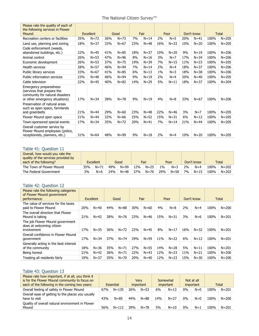| The National Citizen Survey™ |  |
|------------------------------|--|
|------------------------------|--|

| Please rate the quality of each of<br>the following services in Flower<br>Mound:                                          |     | <b>Excellent</b> |     | Good     |     | Fair     |     | Poor     |     | Don't know |      | <b>Total</b> |
|---------------------------------------------------------------------------------------------------------------------------|-----|------------------|-----|----------|-----|----------|-----|----------|-----|------------|------|--------------|
| Recreation centers or facilities                                                                                          | 35% | $N = 72$         | 36% | $N = 73$ | 7%  | $N = 14$ | 2%  | $N = 5$  | 20% | $N = 41$   | 100% | $N = 205$    |
| Land use, planning and zoning                                                                                             | 18% | $N = 37$         | 33% | $N = 67$ | 23% | $N = 48$ | 16% | $N = 33$ | 10% | $N=20$     | 100% | $N = 205$    |
| Code enforcement (weeds,<br>abandoned buildings, etc.)                                                                    | 22% | $N=45$           | 41% | $N = 85$ | 18% | $N = 37$ | 10% | $N = 20$ | 9%  | $N = 19$   | 100% | $N = 206$    |
| Animal control                                                                                                            | 26% | $N = 53$         | 47% | $N = 96$ | 8%  | $N=16$   | 3%  | $N=7$    | 17% | $N = 34$   | 100% | $N = 206$    |
| Economic development                                                                                                      | 26% | $N = 53$         | 37% | $N = 75$ | 19% | $N = 39$ | 7%  | $N = 15$ | 11% | $N=23$     | 100% | $N = 205$    |
| Health services                                                                                                           | 28% | $N = 57$         | 46% | $N = 94$ | 7%  | $N = 14$ | 2%  | $N=4$    | 18% | $N = 37$   | 100% | $N = 206$    |
| Public library services                                                                                                   | 33% | $N = 67$         | 41% | $N = 85$ | 6%  | $N=13$   | 1%  | $N=3$    | 18% | $N = 38$   | 100% | $N = 206$    |
| Public information services                                                                                               | 23% | $N = 48$         | 46% | $N = 94$ | 9%  | $N = 19$ | 2%  | $N=4$    | 20% | $N=40$     | 100% | $N = 205$    |
| Cable television                                                                                                          | 22% | $N=45$           | 40% | $N = 82$ | 14% | $N = 29$ | 5%  | $N = 11$ | 18% | $N = 37$   | 100% | $N = 204$    |
| Emergency preparedness<br>(services that prepare the<br>community for natural disasters<br>or other emergency situations) | 17% | $N = 34$         | 38% | $N = 78$ | 9%  | $N=19$   | 4%  | $N=8$    | 33% | $N = 67$   | 100% | $N = 206$    |
| Preservation of natural areas<br>such as open space, farmlands<br>and greenbelts                                          | 21% | $N = 44$         | 29% | $N = 60$ | 23% | $N = 48$ | 22% | $N=46$   | 3%  | $N=7$      | 100% | $N = 205$    |
| Flower Mound open space                                                                                                   | 21% | $N=44$           | 32% | $N = 66$ | 25% | $N=52$   | 15% | $N = 31$ | 6%  | $N=12$     | 100% | $N = 205$    |
| Town-sponsored special events                                                                                             | 17% | $N = 34$         | 35% | $N = 72$ | 20% | $N=41$   | 7%  | $N = 14$ | 21% | $N = 44$   | 100% | $N = 205$    |
| Overall customer service by<br>Flower Mound employees (police,<br>receptionists, planners, etc.)                          | 31% | $N = 64$         | 48% | $N = 99$ | 9%  | $N = 18$ | 2%  | $N=4$    | 10% | $N=20$     | 100% | $N = 205$    |

#### Table 41: Question 11

| Overall, how would you rate the<br>quality of the services provided by<br>each of the following? | <b>Excellent</b> |          | Good |          | Fair |          | Poor  |       | Don't know |          | <b>Total</b> |           |
|--------------------------------------------------------------------------------------------------|------------------|----------|------|----------|------|----------|-------|-------|------------|----------|--------------|-----------|
| The Town of Flower Mound                                                                         | 35%              | $N = 71$ | 49%  | $N = 99$ | 12%  | $N=25$   | $1\%$ | $N=3$ | 2%         | $N=4$    | 100%         | $N = 202$ |
| The Federal Government                                                                           | 3%               | $N = 6$  | ን4%  | $N = 48$ | 37%  | $N = 76$ | 29%   | N=58  | 7%         | $N = 15$ | 100%         | $N = 203$ |

#### Table 42: Question 12

| Please rate the following categories<br>of Flower Mound government<br>performance: |                 | <b>Excellent</b> | Good |          | Fair |          | Poor |          | Don't know |          |      | Total     |
|------------------------------------------------------------------------------------|-----------------|------------------|------|----------|------|----------|------|----------|------------|----------|------|-----------|
| The value of services for the taxes<br>paid to Flower Mound                        | 20%             | $N = 40$         | 44%  | $N = 88$ | 30%  | $N = 60$ | 4%   | $N = 8$  | 2%         | $N=4$    | 100% | $N = 200$ |
| The overall direction that Flower<br>Mound is taking                               | 21%             | $N=42$           | 38%  | $N = 76$ | 23%  | $N = 46$ | 15%  | $N = 31$ | 3%         | $N=6$    | 100% | $N = 201$ |
| The job Flower Mound government<br>does at welcoming citizen<br>involvement        | 17 <sub>%</sub> | $N = 35$         | 36%  | $N = 72$ | 22%  | $N=45$   | 8%   | $N = 17$ | 16%        | $N = 32$ | 100% | $N = 201$ |
| Overall confidence in Flower Mound<br>government                                   | 17%             | $N = 34$         | 37%  | $N = 74$ | 29%  | $N = 59$ | 11%  | $N=22$   | 6%         | $N = 12$ | 100% | $N = 201$ |
| Generally acting in the best interest<br>of the community                          | 18%             | $N = 36$         | 35%  | $N = 71$ | 27%  | $N = 55$ | 14%  | $N = 28$ | 5%         | $N = 11$ | 100% | $N = 201$ |
| Being honest                                                                       | 21%             | $N = 42$         | 36%  | $N = 71$ | 22%  | $N = 43$ | 12%  | $N = 23$ | 11%        | $N = 21$ | 100% | $N = 200$ |
| Treating all residents fairly                                                      | 19%             | $N = 37$         | 35%  | $N = 70$ | 20%  | $N=40$   | 12%  | $N=23$   | 15%        | $N = 30$ | 100% | $N = 200$ |

# Table 43: Question 13

| Please rate how important, if at all, you think it<br>is for the Flower Mound community to focus on<br>each of the following in the coming two years: | Essential |           | Verv<br>important |          | Somewhat<br><i>important</i> |          | Not at all<br>important |       | Total |           |
|-------------------------------------------------------------------------------------------------------------------------------------------------------|-----------|-----------|-------------------|----------|------------------------------|----------|-------------------------|-------|-------|-----------|
| Overall feeling of safety in Flower Mound                                                                                                             | 67%       | $N = 135$ | 26%               | $N = 53$ | 6%                           | $N = 13$ | 0%                      | $N=0$ | 100%  | $N = 201$ |
| Overall ease of getting to the places you usually<br>have to visit                                                                                    | 43%       | $N = 85$  | 44%               | $N = 88$ | 14%                          | $N = 27$ | $0\%$                   | $N=0$ | 100%  | $N = 200$ |
| Quality of overall natural environment in Flower<br>Mound                                                                                             | 56%       | $N = 112$ | 39%               | $N = 78$ | 5%                           | $N = 10$ | 0%                      | $N=1$ | 100%  | $N = 201$ |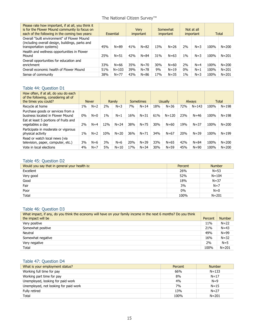# The National Citizen Survey<sup>™</sup>

| Please rate how important, if at all, you think it<br>is for the Flower Mound community to focus on<br>each of the following in the coming two years: | Essential |           | Verv<br><i>important</i> |          | Somewhat<br><i>important</i> |          | Not at all<br><i>important</i> |         |      | Total     |
|-------------------------------------------------------------------------------------------------------------------------------------------------------|-----------|-----------|--------------------------|----------|------------------------------|----------|--------------------------------|---------|------|-----------|
| Overall "built environment" of Flower Mound<br>(including overall design, buildings, parks and<br>transportation systems)                             | 45%       | $N = 89$  | 41%                      | $N = 82$ | 13%                          | $N = 26$ | 2%                             | $N = 3$ | 100% | $N = 200$ |
| Health and wellness opportunities in Flower<br>Mound                                                                                                  | 25%       | $N = 51$  | 42%                      | $N = 84$ | 31%                          | $N = 63$ | $1\%$                          | $N = 3$ | 100% | $N = 201$ |
| Overall opportunities for education and<br>enrichment                                                                                                 | 33%       | $N = 66$  | 35%                      | $N = 70$ | 30%                          | $N = 60$ | 2%                             | $N=4$   | 100% | $N = 200$ |
| Overall economic health of Flower Mound                                                                                                               | 51%       | $N = 103$ | 39%                      | $N = 78$ | 9%                           | $N = 19$ | $0\%$                          | $N=1$   | 100% | $N = 201$ |
| Sense of community                                                                                                                                    | 38%       | $N = 77$  | 43%                      | $N = 86$ | 17%                          | $N = 35$ | $1\%$                          | $N = 3$ | 100% | $N = 201$ |

#### Table 44: Question D1

| How often, if at all, do you do each<br>of the following, considering all of<br>the times you could? |       | <b>Never</b> | Rarely |          | <b>Sometimes</b> |          | <b>Usually</b> |           | <b>Always</b> |           | Total |           |
|------------------------------------------------------------------------------------------------------|-------|--------------|--------|----------|------------------|----------|----------------|-----------|---------------|-----------|-------|-----------|
| Recycle at home                                                                                      | 1%    | $N=2$        | 2%     | $N = 3$  | 7%               | $N = 14$ | 18%            | $N = 36$  | 72%           | $N = 143$ | 100%  | $N = 198$ |
| Purchase goods or services from a<br>business located in Flower Mound                                | $0\%$ | $N=0$        | 1%     | $N=1$    | 16%              | $N = 31$ | 61%            | $N = 120$ | 23%           | $N = 46$  | 100%  | $N = 198$ |
| Eat at least 5 portions of fruits and<br>vegetables a day                                            | 2%    | $N=4$        | 12%    | $N = 24$ | 38%              | $N = 75$ | 30%            | $N = 60$  | 19%           | $N = 37$  | 100%  | $N = 200$ |
| Participate in moderate or vigorous<br>physical activity                                             | $1\%$ | $N=2$        | 10%    | $N = 20$ | 36%              | $N = 71$ | 34%            | $N = 67$  | 20%           | $N = 39$  | 100%  | $N = 199$ |
| Read or watch local news (via<br>television, paper, computer, etc.)                                  | 3%    | $N=6$        | 3%     | $N=6$    | 20%              | $N = 39$ | 33%            | $N = 65$  | 42%           | $N = 84$  | 100%  | $N = 200$ |
| Vote in local elections                                                                              | 4%    | $N=7$        | 5%     | $N = 10$ | 17%              | $N = 34$ | 30%            | $N = 59$  | 45%           | $N = 90$  | 100%  | $N = 200$ |

# Table 45: Question D2

| Would you say that in general your health is: | Percent | <b>Number</b> |
|-----------------------------------------------|---------|---------------|
| Excellent                                     | 26%     | $N=53$        |
| Very good                                     | 52%     | $N = 104$     |
| Good                                          | 18%     | $N = 37$      |
| Fair                                          | 3%      | $N=7$         |
| Poor                                          | 0%      | $N=0$         |
| Total                                         | 100%    | $N = 201$     |

# Table 46: Question D3

| What impact, if any, do you think the economy will have on your family income in the next 6 months? Do you think |         |               |
|------------------------------------------------------------------------------------------------------------------|---------|---------------|
| the impact will be                                                                                               | Percent | <b>Number</b> |
| Very positive                                                                                                    | 11%     | $N = 22$      |
| Somewhat positive                                                                                                | 21%     | $N = 43$      |
| Neutral                                                                                                          | 49%     | $N = 99$      |
| Somewhat negative                                                                                                | 16%     | $N = 32$      |
| Very negative                                                                                                    | 2%      | $N=5$         |
| Total                                                                                                            | 100%    | $N = 201$     |

# Table 47: Question D4

| What is your employment status?       | Percent | <b>Number</b> |
|---------------------------------------|---------|---------------|
| Working full time for pay             | 66%     | $N = 133$     |
| Working part time for pay             | 8%      | $N = 17$      |
| Unemployed, looking for paid work     | 4%      | $N=9$         |
| Unemployed, not looking for paid work | 7%      | $N = 15$      |
| Fully retired                         | 13%     | $N = 27$      |
| Total                                 | 100%    | $N = 201$     |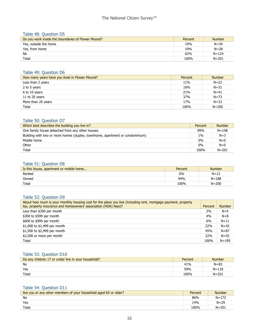#### Table 48: Question D5

| Do you work inside the boundaries of Flower Mound? | Percent | <b>Number</b> |
|----------------------------------------------------|---------|---------------|
| Yes, outside the home                              | 19%     | $N = 39$      |
| Yes, from home                                     | 19%     | $N = 38$      |
| No                                                 | 62%     | $N = 124$     |
| Total                                              | 100%    | $N = 201$     |

#### Table 49: Question D6

| How many years have you lived in Flower Mound? | Percent | <b>Number</b> |
|------------------------------------------------|---------|---------------|
| Less than 2 years                              | 11%     | $N = 22$      |
| 2 to 5 years                                   | 16%     | $N = 31$      |
| 6 to 10 years                                  | 21%     | $N = 41$      |
| 11 to 20 years                                 | 37%     | $N = 73$      |
| More than 20 years                             | 17%     | $N = 33$      |
| Total                                          | 100%    | $N = 200$     |

# Table 50: Question D7

| Which best describes the building you live in?                               | Percent | <b>Number</b> |
|------------------------------------------------------------------------------|---------|---------------|
| One family house detached from any other houses                              | 99%     | $N = 198$     |
| Building with two or more homes (duplex, townhome, apartment or condominium) | $1\%$   | $N=3$         |
| Mobile home                                                                  | 0%      | $N=0$         |
| Other                                                                        | $0\%$   | $N=0$         |
| Total                                                                        | 100%    | $N = 201$     |

#### Table 51: Question D8

| Is this house, apartment or mobile home | Percent | <b>Number</b> |
|-----------------------------------------|---------|---------------|
| Rented                                  | 6%      | $N = 12$      |
| Owned                                   | 94%     | $N = 188$     |
| Total                                   | 100%    | $N = 200$     |

# Table 52: Question D9

| About how much is your monthly housing cost for the place you live (including rent, mortgage payment, property<br>tax, property insurance and homeowners' association (HOA) fees)? | Percent | <b>Number</b> |
|------------------------------------------------------------------------------------------------------------------------------------------------------------------------------------|---------|---------------|
| Less than \$300 per month                                                                                                                                                          | 3%      | $N=5$         |
| \$300 to \$599 per month                                                                                                                                                           | 4%      | $N=8$         |
| \$600 to \$999 per month                                                                                                                                                           | 6%      | $N=11$        |
| \$1,000 to \$1,499 per month                                                                                                                                                       | 22%     | $N = 42$      |
| \$1,500 to \$2,499 per month                                                                                                                                                       | 45%     | $N = 87$      |
| \$2,500 or more per month                                                                                                                                                          | 22%     | $N=42$        |
| Total                                                                                                                                                                              | 100%    | $N = 195$     |

#### Table 53: Question D10

| Do any children 17 or under live in your household? | Percent | <b>Number</b> |
|-----------------------------------------------------|---------|---------------|
| No                                                  | 41%     | $N = 83$      |
| Yes                                                 | 59%     | $N = 118$     |
| Total                                               | 100%    | $N = 201$     |

### Table 54: Question D11

| Are you or any other members of your household aged 65 or older? | Percent | <b>Number</b> |
|------------------------------------------------------------------|---------|---------------|
| No                                                               | 86%     | $N = 172$     |
| Yes                                                              | 14%     | $N = 29$      |
| Total                                                            | 100%    | $N = 201$     |